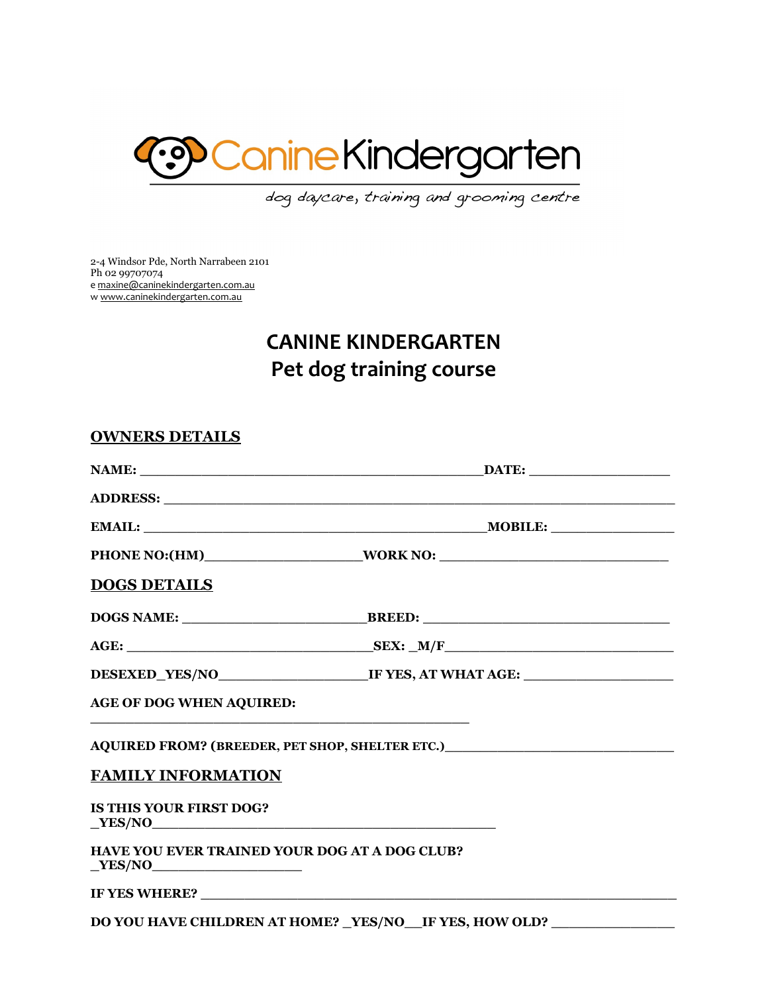

dog daycare, training and grooming centre

2-4 Windsor Pde, North Narrabeen 2101 Ph 02 99707074 e [maxine@caninekindergarten.com.au](mailto:maxine@caninekindergarten.com.au) w [www.caninekindergarten.com.au](http://www.caninekindergarten.com.au/)

# **CANINE KINDERGARTEN Pet dog training course**

| <b>OWNERS DETAILS</b>                                                                                                                                     |                                                                                                                                                                                                                                |
|-----------------------------------------------------------------------------------------------------------------------------------------------------------|--------------------------------------------------------------------------------------------------------------------------------------------------------------------------------------------------------------------------------|
|                                                                                                                                                           | $\blacksquare$ DATE: $\blacksquare$                                                                                                                                                                                            |
|                                                                                                                                                           | ADDRESS: New York Contract the Contract of the Contract of the Contract of the Contract of the Contract of the Contract of the Contract of the Contract of the Contract of the Contract of the Contract of the Contract of the |
|                                                                                                                                                           |                                                                                                                                                                                                                                |
|                                                                                                                                                           |                                                                                                                                                                                                                                |
| <b>DOGS DETAILS</b>                                                                                                                                       |                                                                                                                                                                                                                                |
|                                                                                                                                                           |                                                                                                                                                                                                                                |
|                                                                                                                                                           | $AGE:$ SEX: $_M/F$                                                                                                                                                                                                             |
|                                                                                                                                                           |                                                                                                                                                                                                                                |
| <b>AGE OF DOG WHEN AQUIRED:</b><br><u> 2008 - An Dùbhlachd ann an Dùbhlachd ann an Dùbhlachd ann an Dùbhlachd ann an Dùbhlachd ann an Dùbhlachd ann a</u> |                                                                                                                                                                                                                                |
|                                                                                                                                                           | AQUIRED FROM? (BREEDER, PET SHOP, SHELTER ETC.)_________________________________                                                                                                                                               |
| <b>FAMILY INFORMATION</b>                                                                                                                                 |                                                                                                                                                                                                                                |
| IS THIS YOUR FIRST DOG?<br>YES/NO                                                                                                                         |                                                                                                                                                                                                                                |
| HAVE YOU EVER TRAINED YOUR DOG AT A DOG CLUB?<br>YES/NO                                                                                                   |                                                                                                                                                                                                                                |
|                                                                                                                                                           |                                                                                                                                                                                                                                |
|                                                                                                                                                           | DO YOU HAVE CHILDREN AT HOME? _YES/NO__IF YES, HOW OLD? ___________                                                                                                                                                            |